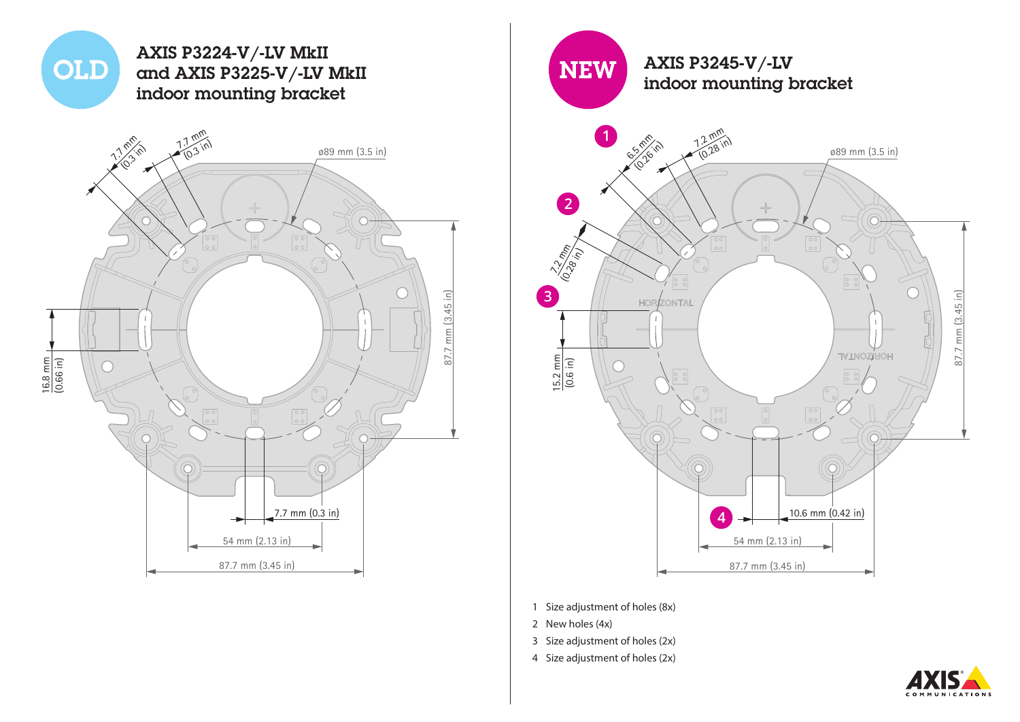

54 mm (2.13 in)

87.7 mm (3.45 in)



- 1 Size adjustment of holes (8x)
- 2 New holes (4x)

87.7 mm (3.45 in)

mm (3.45 in)

- 3 Size adjustment of holes (2x)
- 4 Size adjustment of holes (2x)